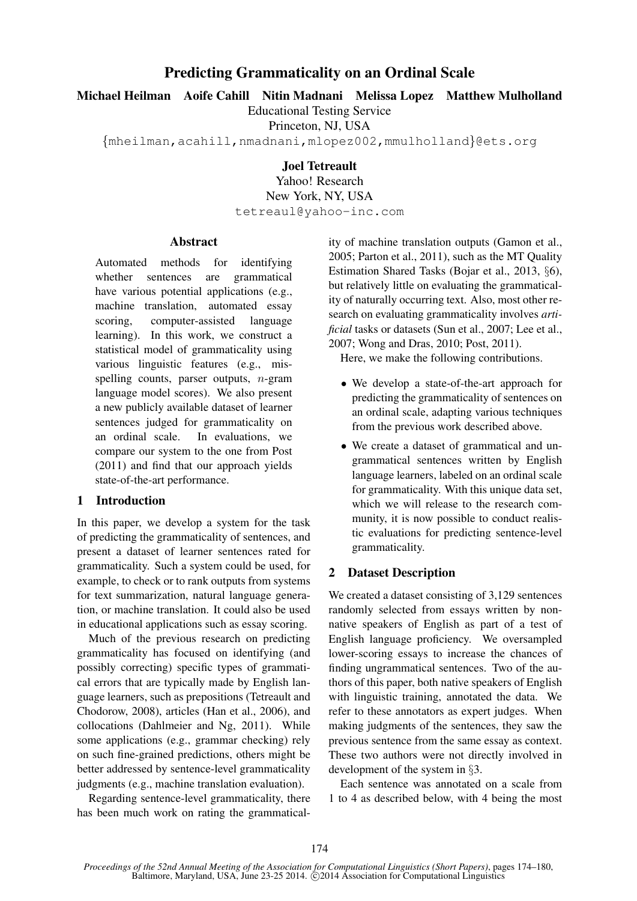# Predicting Grammaticality on an Ordinal Scale

Michael Heilman Aoife Cahill Nitin Madnani Melissa Lopez Matthew Mulholland

Educational Testing Service

Princeton, NJ, USA

{mheilman,acahill,nmadnani,mlopez002,mmulholland}@ets.org

Joel Tetreault

Yahoo! Research New York, NY, USA tetreaul@yahoo-inc.com

#### Abstract

Automated methods for identifying whether sentences are grammatical have various potential applications (e.g., machine translation, automated essay scoring, computer-assisted language learning). In this work, we construct a statistical model of grammaticality using various linguistic features (e.g., misspelling counts, parser outputs,  $n$ -gram language model scores). We also present a new publicly available dataset of learner sentences judged for grammaticality on an ordinal scale. In evaluations, we compare our system to the one from Post (2011) and find that our approach yields state-of-the-art performance.

## 1 Introduction

In this paper, we develop a system for the task of predicting the grammaticality of sentences, and present a dataset of learner sentences rated for grammaticality. Such a system could be used, for example, to check or to rank outputs from systems for text summarization, natural language generation, or machine translation. It could also be used in educational applications such as essay scoring.

Much of the previous research on predicting grammaticality has focused on identifying (and possibly correcting) specific types of grammatical errors that are typically made by English language learners, such as prepositions (Tetreault and Chodorow, 2008), articles (Han et al., 2006), and collocations (Dahlmeier and Ng, 2011). While some applications (e.g., grammar checking) rely on such fine-grained predictions, others might be better addressed by sentence-level grammaticality judgments (e.g., machine translation evaluation).

Regarding sentence-level grammaticality, there has been much work on rating the grammatical-

ity of machine translation outputs (Gamon et al., 2005; Parton et al., 2011), such as the MT Quality Estimation Shared Tasks (Bojar et al., 2013, §6), but relatively little on evaluating the grammaticality of naturally occurring text. Also, most other research on evaluating grammaticality involves *artificial* tasks or datasets (Sun et al., 2007; Lee et al., 2007; Wong and Dras, 2010; Post, 2011).

Here, we make the following contributions.

- We develop a state-of-the-art approach for predicting the grammaticality of sentences on an ordinal scale, adapting various techniques from the previous work described above.
- We create a dataset of grammatical and ungrammatical sentences written by English language learners, labeled on an ordinal scale for grammaticality. With this unique data set, which we will release to the research community, it is now possible to conduct realistic evaluations for predicting sentence-level grammaticality.

## 2 Dataset Description

We created a dataset consisting of 3,129 sentences randomly selected from essays written by nonnative speakers of English as part of a test of English language proficiency. We oversampled lower-scoring essays to increase the chances of finding ungrammatical sentences. Two of the authors of this paper, both native speakers of English with linguistic training, annotated the data. We refer to these annotators as expert judges. When making judgments of the sentences, they saw the previous sentence from the same essay as context. These two authors were not directly involved in development of the system in §3.

Each sentence was annotated on a scale from 1 to 4 as described below, with 4 being the most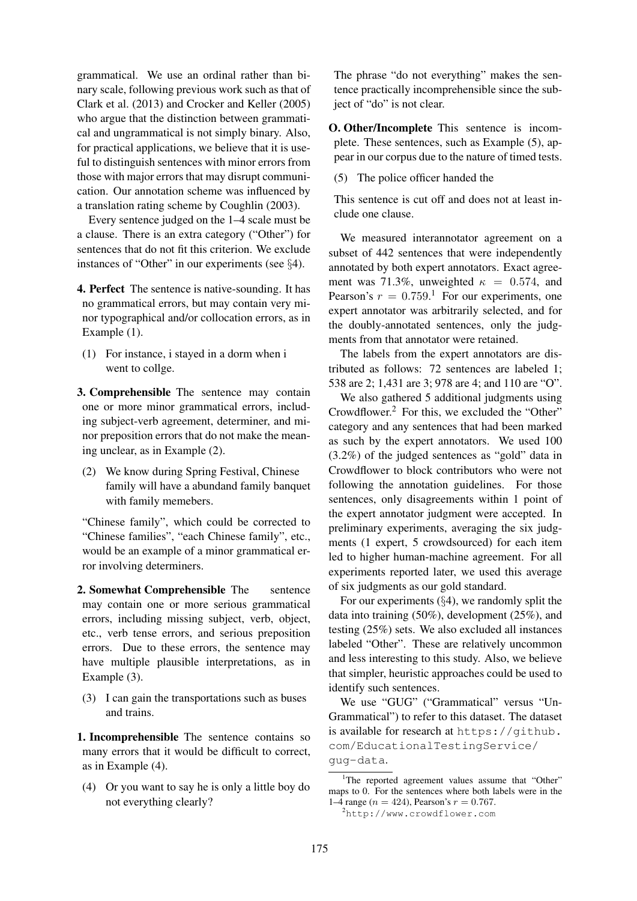grammatical. We use an ordinal rather than binary scale, following previous work such as that of Clark et al. (2013) and Crocker and Keller (2005) who argue that the distinction between grammatical and ungrammatical is not simply binary. Also, for practical applications, we believe that it is useful to distinguish sentences with minor errors from those with major errors that may disrupt communication. Our annotation scheme was influenced by a translation rating scheme by Coughlin (2003).

Every sentence judged on the 1–4 scale must be a clause. There is an extra category ("Other") for sentences that do not fit this criterion. We exclude instances of "Other" in our experiments (see §4).

4. Perfect The sentence is native-sounding. It has no grammatical errors, but may contain very minor typographical and/or collocation errors, as in Example (1).

- (1) For instance, i stayed in a dorm when i went to collge.
- 3. Comprehensible The sentence may contain one or more minor grammatical errors, including subject-verb agreement, determiner, and minor preposition errors that do not make the meaning unclear, as in Example (2).
- (2) We know during Spring Festival, Chinese family will have a abundand family banquet with family memebers.

"Chinese family", which could be corrected to "Chinese families", "each Chinese family", etc., would be an example of a minor grammatical error involving determiners.

2. Somewhat Comprehensible The sentence may contain one or more serious grammatical errors, including missing subject, verb, object, etc., verb tense errors, and serious preposition errors. Due to these errors, the sentence may have multiple plausible interpretations, as in Example (3).

(3) I can gain the transportations such as buses and trains.

1. Incomprehensible The sentence contains so many errors that it would be difficult to correct, as in Example (4).

(4) Or you want to say he is only a little boy do not everything clearly?

The phrase "do not everything" makes the sentence practically incomprehensible since the subject of "do" is not clear.

O. Other/Incomplete This sentence is incomplete. These sentences, such as Example (5), appear in our corpus due to the nature of timed tests.

(5) The police officer handed the

This sentence is cut off and does not at least include one clause.

We measured interannotator agreement on a subset of 442 sentences that were independently annotated by both expert annotators. Exact agreement was 71.3%, unweighted  $\kappa = 0.574$ , and Pearson's  $r = 0.759$ .<sup>1</sup> For our experiments, one expert annotator was arbitrarily selected, and for the doubly-annotated sentences, only the judgments from that annotator were retained.

The labels from the expert annotators are distributed as follows: 72 sentences are labeled 1; 538 are 2; 1,431 are 3; 978 are 4; and 110 are "O".

We also gathered 5 additional judgments using Crowdflower.<sup>2</sup> For this, we excluded the "Other" category and any sentences that had been marked as such by the expert annotators. We used 100 (3.2%) of the judged sentences as "gold" data in Crowdflower to block contributors who were not following the annotation guidelines. For those sentences, only disagreements within 1 point of the expert annotator judgment were accepted. In preliminary experiments, averaging the six judgments (1 expert, 5 crowdsourced) for each item led to higher human-machine agreement. For all experiments reported later, we used this average of six judgments as our gold standard.

For our experiments  $(\S 4)$ , we randomly split the data into training (50%), development (25%), and testing (25%) sets. We also excluded all instances labeled "Other". These are relatively uncommon and less interesting to this study. Also, we believe that simpler, heuristic approaches could be used to identify such sentences.

We use "GUG" ("Grammatical" versus "Un-Grammatical") to refer to this dataset. The dataset is available for research at https://github. com/EducationalTestingService/ gug-data.

<sup>&</sup>lt;sup>1</sup>The reported agreement values assume that "Other" maps to 0. For the sentences where both labels were in the 1–4 range ( $n = 424$ ), Pearson's  $r = 0.767$ .

<sup>2</sup>http://www.crowdflower.com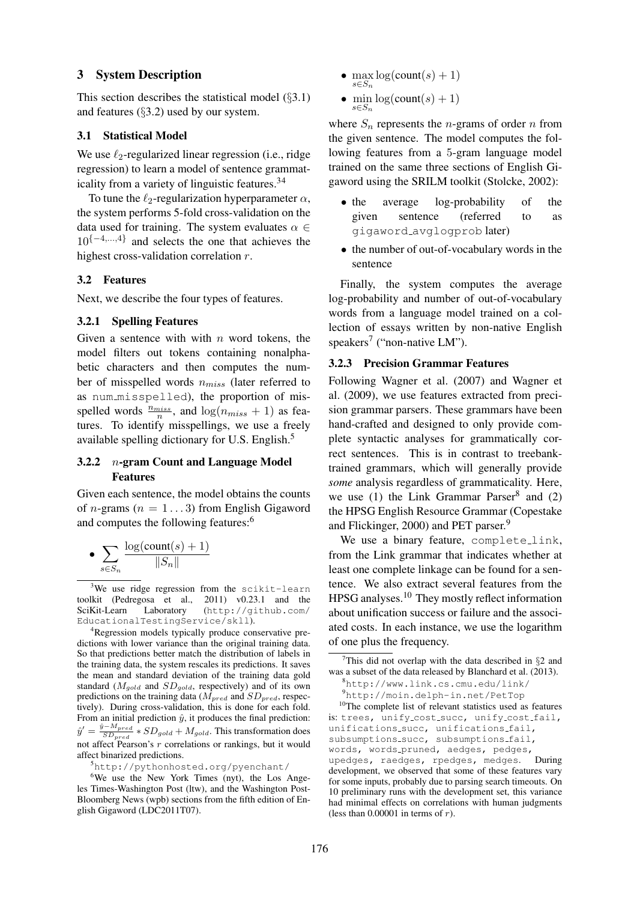#### 3 System Description

This section describes the statistical model (§3.1) and features (§3.2) used by our system.

## 3.1 Statistical Model

We use  $\ell_2$ -regularized linear regression (i.e., ridge regression) to learn a model of sentence grammaticality from a variety of linguistic features.<sup>34</sup>

To tune the  $\ell_2$ -regularization hyperparameter  $\alpha$ , the system performs 5-fold cross-validation on the data used for training. The system evaluates  $\alpha \in$  $10^{-4,\dots,4}$  and selects the one that achieves the highest cross-validation correlation r.

#### 3.2 Features

Next, we describe the four types of features.

## 3.2.1 Spelling Features

Given a sentence with with  $n$  word tokens, the model filters out tokens containing nonalphabetic characters and then computes the number of misspelled words  $n_{miss}$  (later referred to as num\_misspelled), the proportion of misspelled words  $\frac{n_{miss}}{n}$ , and  $\log(n_{miss} + 1)$  as features. To identify misspellings, we use a freely available spelling dictionary for U.S. English.<sup>5</sup>

### 3.2.2 n-gram Count and Language Model Features

Given each sentence, the model obtains the counts of *n*-grams ( $n = 1...3$ ) from English Gigaword and computes the following features:<sup>6</sup>

• 
$$
\sum_{s \in S_n} \frac{\log(\text{count}(s) + 1)}{\|S_n\|}
$$

<sup>4</sup>Regression models typically produce conservative predictions with lower variance than the original training data. So that predictions better match the distribution of labels in the training data, the system rescales its predictions. It saves the mean and standard deviation of the training data gold standard ( $M_{gold}$  and  $SD_{gold}$ , respectively) and of its own predictions on the training data ( $\dot{M}_{pred}$  and  $SD_{pred}$ , respectively). During cross-validation, this is done for each fold. From an initial prediction  $\hat{y}$ , it produces the final prediction:  $\hat{y}' = \frac{\hat{y} - M_{pred}}{SD_{pred}} * SD_{gold} + M_{gold}.$  This transformation does not affect Pearson's  $r$  correlations or rankings, but it would affect binarized predictions.

<sup>5</sup>http://pythonhosted.org/pyenchant/

- max  $\log$ (count(s) + 1)  $s \in S_n$
- min  $\log(\text{count}(s) + 1)$ s∈Sn

where  $S_n$  represents the *n*-grams of order *n* from the given sentence. The model computes the following features from a 5-gram language model trained on the same three sections of English Gigaword using the SRILM toolkit (Stolcke, 2002):

- the average log-probability of the given sentence (referred to as gigaword avglogprob later)
- the number of out-of-vocabulary words in the sentence

Finally, the system computes the average log-probability and number of out-of-vocabulary words from a language model trained on a collection of essays written by non-native English speakers<sup>7</sup> ("non-native LM").

#### 3.2.3 Precision Grammar Features

Following Wagner et al. (2007) and Wagner et al. (2009), we use features extracted from precision grammar parsers. These grammars have been hand-crafted and designed to only provide complete syntactic analyses for grammatically correct sentences. This is in contrast to treebanktrained grammars, which will generally provide *some* analysis regardless of grammaticality. Here, we use  $(1)$  the Link Grammar Parser<sup>8</sup> and  $(2)$ the HPSG English Resource Grammar (Copestake and Flickinger, 2000) and PET parser.<sup>9</sup>

We use a binary feature, complete\_link, from the Link grammar that indicates whether at least one complete linkage can be found for a sentence. We also extract several features from the HPSG analyses.<sup>10</sup> They mostly reflect information about unification success or failure and the associated costs. In each instance, we use the logarithm of one plus the frequency.

<sup>10</sup>The complete list of relevant statistics used as features is: trees, unify cost succ, unify cost fail, unifications succ, unifications fail, subsumptions\_succ, subsumptions\_fail, words, words pruned, aedges, pedges, upedges, raedges, rpedges, medges. During

 $3$ We use ridge regression from the scikit-learn toolkit (Pedregosa et al., 2011) v0.23.1 and the SciKit-Learn Laboratory (http://github.com/ EducationalTestingService/skll).

<sup>&</sup>lt;sup>6</sup>We use the New York Times (nyt), the Los Angeles Times-Washington Post (ltw), and the Washington Post-Bloomberg News (wpb) sections from the fifth edition of English Gigaword (LDC2011T07).

<sup>&</sup>lt;sup>7</sup>This did not overlap with the data described in  $\S$ 2 and was a subset of the data released by Blanchard et al. (2013). <sup>8</sup>http://www.link.cs.cmu.edu/link/

<sup>9</sup>http://moin.delph-in.net/PetTop

development, we observed that some of these features vary for some inputs, probably due to parsing search timeouts. On 10 preliminary runs with the development set, this variance had minimal effects on correlations with human judgments (less than  $0.00001$  in terms of  $r$ ).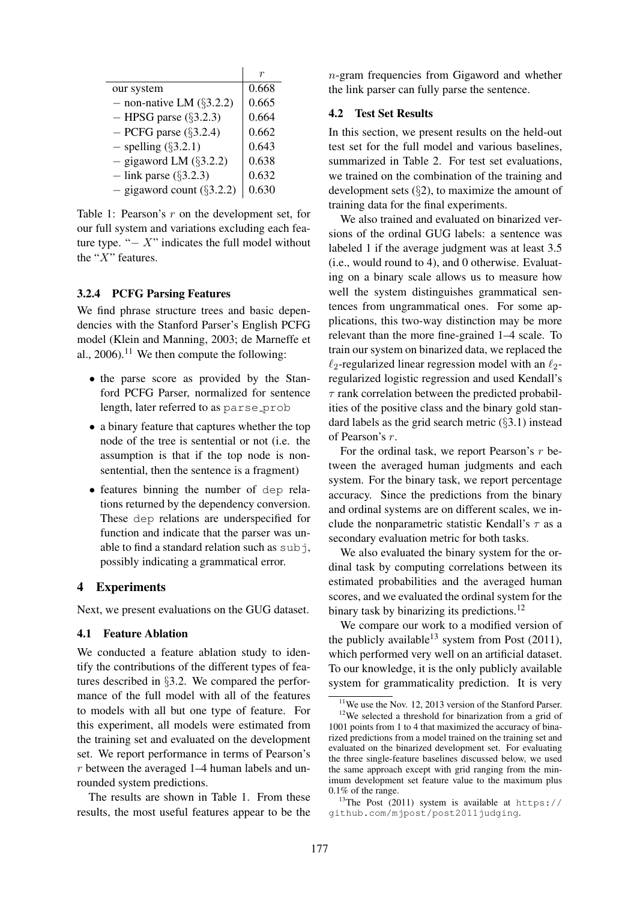| our system                   | 0.668 |
|------------------------------|-------|
| - non-native LM $(\S 3.2.2)$ | 0.665 |
| $-$ HPSG parse (§3.2.3)      | 0.664 |
| $-$ PCFG parse ( $\S$ 3.2.4) | 0.662 |
| $-$ spelling $(\S 3.2.1)$    | 0.643 |
| $-$ gigaword LM $(\S 3.2.2)$ | 0.638 |
| $-$ link parse (§3.2.3)      | 0.632 |
| - gigaword count $(\S3.2.2)$ | 0.630 |

Table 1: Pearson's  $r$  on the development set, for our full system and variations excluding each feature type. " $- X$ " indicates the full model without the " $X$ " features.

#### 3.2.4 PCFG Parsing Features

We find phrase structure trees and basic dependencies with the Stanford Parser's English PCFG model (Klein and Manning, 2003; de Marneffe et al., 2006).<sup>11</sup> We then compute the following:

- the parse score as provided by the Stanford PCFG Parser, normalized for sentence length, later referred to as parse\_prob
- a binary feature that captures whether the top node of the tree is sentential or not (i.e. the assumption is that if the top node is nonsentential, then the sentence is a fragment)
- features binning the number of dep relations returned by the dependency conversion. These dep relations are underspecified for function and indicate that the parser was unable to find a standard relation such as  $subj$ , possibly indicating a grammatical error.

#### 4 Experiments

Next, we present evaluations on the GUG dataset.

## 4.1 Feature Ablation

We conducted a feature ablation study to identify the contributions of the different types of features described in §3.2. We compared the performance of the full model with all of the features to models with all but one type of feature. For this experiment, all models were estimated from the training set and evaluated on the development set. We report performance in terms of Pearson's r between the averaged 1–4 human labels and unrounded system predictions.

The results are shown in Table 1. From these results, the most useful features appear to be the n-gram frequencies from Gigaword and whether the link parser can fully parse the sentence.

#### 4.2 Test Set Results

In this section, we present results on the held-out test set for the full model and various baselines, summarized in Table 2. For test set evaluations, we trained on the combination of the training and development sets (§2), to maximize the amount of training data for the final experiments.

We also trained and evaluated on binarized versions of the ordinal GUG labels: a sentence was labeled 1 if the average judgment was at least 3.5 (i.e., would round to 4), and 0 otherwise. Evaluating on a binary scale allows us to measure how well the system distinguishes grammatical sentences from ungrammatical ones. For some applications, this two-way distinction may be more relevant than the more fine-grained 1–4 scale. To train our system on binarized data, we replaced the  $\ell_2$ -regularized linear regression model with an  $\ell_2$ regularized logistic regression and used Kendall's  $\tau$  rank correlation between the predicted probabilities of the positive class and the binary gold standard labels as the grid search metric  $(\S 3.1)$  instead of Pearson's r.

For the ordinal task, we report Pearson's r between the averaged human judgments and each system. For the binary task, we report percentage accuracy. Since the predictions from the binary and ordinal systems are on different scales, we include the nonparametric statistic Kendall's  $\tau$  as a secondary evaluation metric for both tasks.

We also evaluated the binary system for the ordinal task by computing correlations between its estimated probabilities and the averaged human scores, and we evaluated the ordinal system for the binary task by binarizing its predictions.<sup>12</sup>

We compare our work to a modified version of the publicly available<sup>13</sup> system from Post  $(2011)$ , which performed very well on an artificial dataset. To our knowledge, it is the only publicly available system for grammaticality prediction. It is very

 $11$ We use the Nov. 12, 2013 version of the Stanford Parser.

<sup>12</sup>We selected a threshold for binarization from a grid of 1001 points from 1 to 4 that maximized the accuracy of binarized predictions from a model trained on the training set and evaluated on the binarized development set. For evaluating the three single-feature baselines discussed below, we used the same approach except with grid ranging from the minimum development set feature value to the maximum plus 0.1% of the range.

<sup>&</sup>lt;sup>13</sup>The Post (2011) system is available at https:// github.com/mjpost/post2011judging.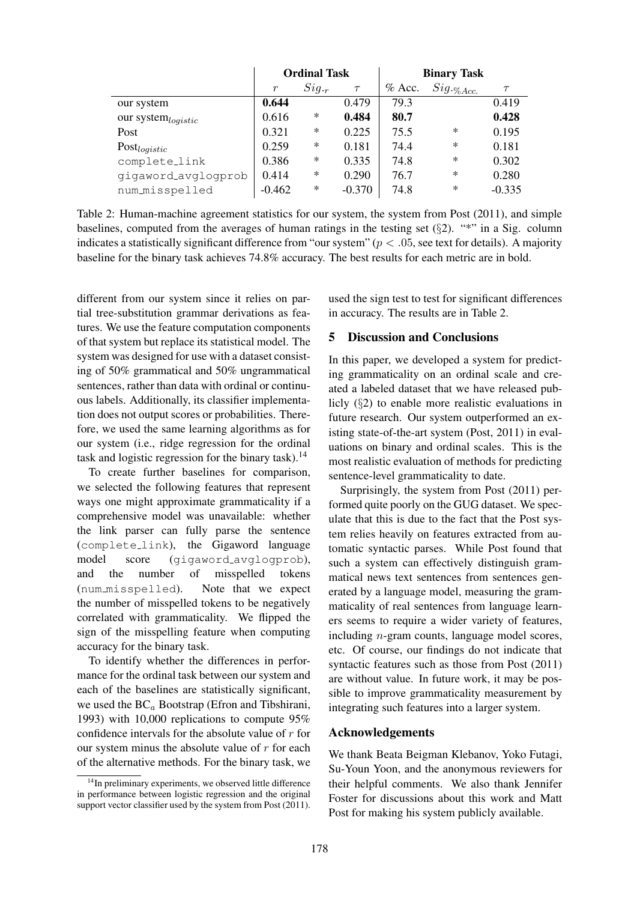|                                | <b>Ordinal Task</b> |        |          | <b>Binary Task</b> |                                                                                                                                                                                                                                                                                                                                                                                                                                                             |          |
|--------------------------------|---------------------|--------|----------|--------------------|-------------------------------------------------------------------------------------------------------------------------------------------------------------------------------------------------------------------------------------------------------------------------------------------------------------------------------------------------------------------------------------------------------------------------------------------------------------|----------|
|                                | $\mathfrak{r}$      | Sig.   | $\tau$   | $%$ Acc.           | $Sig._{{}^\circ}\!\!{{}^\circ}\!\!{{}^\circ}\!{{}^\circ}\!{{}^\circ}\!{{}^\circ}\!{{}^\circ}\!{{}^\circ}\!{{}^\circ}\!{{}^\circ}\!{{}^\circ}\!{{}^\circ}\!{{}^\circ}\!{{}^\circ}\!{{}^\circ}\!{{}^\circ}\!{{}^\circ}\!{{}^\circ}\!{{}^\circ}\!{{}^\circ}\!{{}^\circ}\!{{}^\circ}\!{{}^\circ}\!{{}^\circ}\!{{}^\circ}\!{{}^\circ}\!{{}^\circ}\!{{}^\circ}\!{{}^\circ}\!{{}^\circ}\!{{}^\circ}\!{{}^\circ}\!{{}^\circ}\!{{}^\circ}\!{{}^\circ}\!{{}^\circ}\!$ | $\tau$   |
| our system                     | 0.644               |        | 0.479    | 79.3               |                                                                                                                                                                                                                                                                                                                                                                                                                                                             | 0.419    |
| our system <sub>logistic</sub> | 0.616               | $\ast$ | 0.484    | 80.7               |                                                                                                                                                                                                                                                                                                                                                                                                                                                             | 0.428    |
| Post                           | 0.321               | $\ast$ | 0.225    | 75.5               | $\ast$                                                                                                                                                                                                                                                                                                                                                                                                                                                      | 0.195    |
| Post <sub>logistic</sub>       | 0.259               | $\ast$ | 0.181    | 74.4               | $\ast$                                                                                                                                                                                                                                                                                                                                                                                                                                                      | 0.181    |
| complete_link                  | 0.386               | $\ast$ | 0.335    | 74.8               | $\ast$                                                                                                                                                                                                                                                                                                                                                                                                                                                      | 0.302    |
| gigaword_avglogprob            | 0.414               | $\ast$ | 0.290    | 76.7               | $\ast$                                                                                                                                                                                                                                                                                                                                                                                                                                                      | 0.280    |
| num_misspelled                 | $-0.462$            | $\ast$ | $-0.370$ | 74.8               | $\ast$                                                                                                                                                                                                                                                                                                                                                                                                                                                      | $-0.335$ |

Table 2: Human-machine agreement statistics for our system, the system from Post (2011), and simple baselines, computed from the averages of human ratings in the testing set  $(\S 2)$ . "\*" in a Sig. column indicates a statistically significant difference from "our system" ( $p < .05$ , see text for details). A majority baseline for the binary task achieves 74.8% accuracy. The best results for each metric are in bold.

different from our system since it relies on partial tree-substitution grammar derivations as features. We use the feature computation components of that system but replace its statistical model. The system was designed for use with a dataset consisting of 50% grammatical and 50% ungrammatical sentences, rather than data with ordinal or continuous labels. Additionally, its classifier implementation does not output scores or probabilities. Therefore, we used the same learning algorithms as for our system (i.e., ridge regression for the ordinal task and logistic regression for the binary task). $^{14}$ 

To create further baselines for comparison, we selected the following features that represent ways one might approximate grammaticality if a comprehensive model was unavailable: whether the link parser can fully parse the sentence (complete link), the Gigaword language model score (gigaword\_avglogprob), and the number of misspelled tokens (num misspelled). Note that we expect the number of misspelled tokens to be negatively correlated with grammaticality. We flipped the sign of the misspelling feature when computing accuracy for the binary task.

To identify whether the differences in performance for the ordinal task between our system and each of the baselines are statistically significant, we used the  $BC_a$  Bootstrap (Efron and Tibshirani, 1993) with 10,000 replications to compute 95% confidence intervals for the absolute value of  $r$  for our system minus the absolute value of  $r$  for each of the alternative methods. For the binary task, we used the sign test to test for significant differences in accuracy. The results are in Table 2.

## 5 Discussion and Conclusions

In this paper, we developed a system for predicting grammaticality on an ordinal scale and created a labeled dataset that we have released publicly (§2) to enable more realistic evaluations in future research. Our system outperformed an existing state-of-the-art system (Post, 2011) in evaluations on binary and ordinal scales. This is the most realistic evaluation of methods for predicting sentence-level grammaticality to date.

Surprisingly, the system from Post (2011) performed quite poorly on the GUG dataset. We speculate that this is due to the fact that the Post system relies heavily on features extracted from automatic syntactic parses. While Post found that such a system can effectively distinguish grammatical news text sentences from sentences generated by a language model, measuring the grammaticality of real sentences from language learners seems to require a wider variety of features, including n-gram counts, language model scores, etc. Of course, our findings do not indicate that syntactic features such as those from Post (2011) are without value. In future work, it may be possible to improve grammaticality measurement by integrating such features into a larger system.

#### Acknowledgements

We thank Beata Beigman Klebanov, Yoko Futagi, Su-Youn Yoon, and the anonymous reviewers for their helpful comments. We also thank Jennifer Foster for discussions about this work and Matt Post for making his system publicly available.

<sup>&</sup>lt;sup>14</sup>In preliminary experiments, we observed little difference in performance between logistic regression and the original support vector classifier used by the system from Post (2011).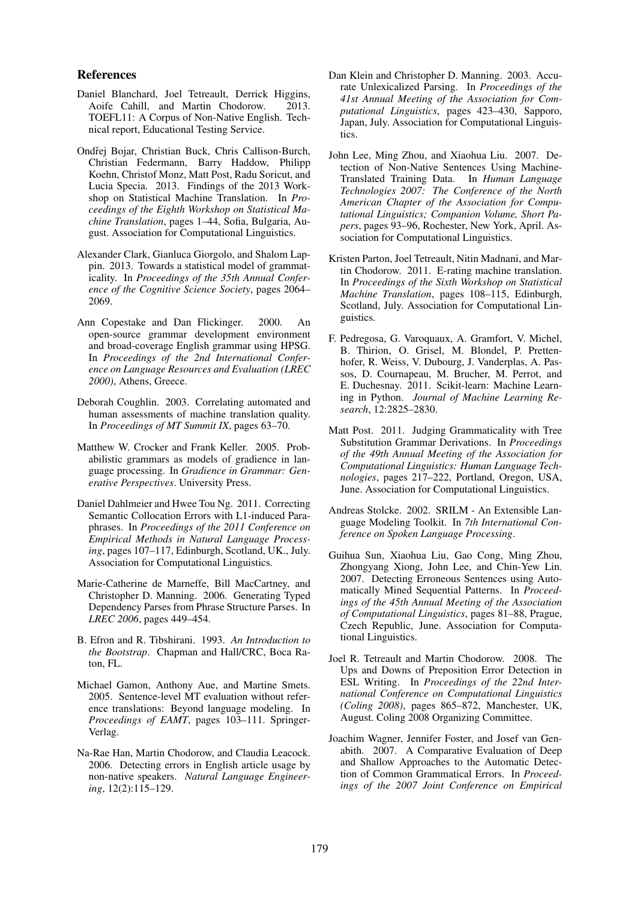#### References

- Daniel Blanchard, Joel Tetreault, Derrick Higgins, Aoife Cahill, and Martin Chodorow. 2013. TOEFL11: A Corpus of Non-Native English. Technical report, Educational Testing Service.
- Ondřej Bojar, Christian Buck, Chris Callison-Burch, Christian Federmann, Barry Haddow, Philipp Koehn, Christof Monz, Matt Post, Radu Soricut, and Lucia Specia. 2013. Findings of the 2013 Workshop on Statistical Machine Translation. In *Proceedings of the Eighth Workshop on Statistical Machine Translation*, pages 1–44, Sofia, Bulgaria, August. Association for Computational Linguistics.
- Alexander Clark, Gianluca Giorgolo, and Shalom Lappin. 2013. Towards a statistical model of grammaticality. In *Proceedings of the 35th Annual Conference of the Cognitive Science Society*, pages 2064– 2069.
- Ann Copestake and Dan Flickinger. 2000. An open-source grammar development environment and broad-coverage English grammar using HPSG. In *Proceedings of the 2nd International Conference on Language Resources and Evaluation (LREC 2000)*, Athens, Greece.
- Deborah Coughlin. 2003. Correlating automated and human assessments of machine translation quality. In *Proceedings of MT Summit IX*, pages 63–70.
- Matthew W. Crocker and Frank Keller. 2005. Probabilistic grammars as models of gradience in language processing. In *Gradience in Grammar: Generative Perspectives*. University Press.
- Daniel Dahlmeier and Hwee Tou Ng. 2011. Correcting Semantic Collocation Errors with L1-induced Paraphrases. In *Proceedings of the 2011 Conference on Empirical Methods in Natural Language Processing*, pages 107–117, Edinburgh, Scotland, UK., July. Association for Computational Linguistics.
- Marie-Catherine de Marneffe, Bill MacCartney, and Christopher D. Manning. 2006. Generating Typed Dependency Parses from Phrase Structure Parses. In *LREC 2006*, pages 449–454.
- B. Efron and R. Tibshirani. 1993. *An Introduction to the Bootstrap*. Chapman and Hall/CRC, Boca Raton, FL.
- Michael Gamon, Anthony Aue, and Martine Smets. 2005. Sentence-level MT evaluation without reference translations: Beyond language modeling. In *Proceedings of EAMT*, pages 103–111. Springer-Verlag.
- Na-Rae Han, Martin Chodorow, and Claudia Leacock. 2006. Detecting errors in English article usage by non-native speakers. *Natural Language Engineering*, 12(2):115–129.
- Dan Klein and Christopher D. Manning. 2003. Accurate Unlexicalized Parsing. In *Proceedings of the 41st Annual Meeting of the Association for Computational Linguistics*, pages 423–430, Sapporo, Japan, July. Association for Computational Linguistics.
- John Lee, Ming Zhou, and Xiaohua Liu. 2007. Detection of Non-Native Sentences Using Machine-Translated Training Data. In *Human Language Technologies 2007: The Conference of the North American Chapter of the Association for Computational Linguistics; Companion Volume, Short Papers*, pages 93–96, Rochester, New York, April. Association for Computational Linguistics.
- Kristen Parton, Joel Tetreault, Nitin Madnani, and Martin Chodorow. 2011. E-rating machine translation. In *Proceedings of the Sixth Workshop on Statistical Machine Translation*, pages 108–115, Edinburgh, Scotland, July. Association for Computational Linguistics.
- F. Pedregosa, G. Varoquaux, A. Gramfort, V. Michel, B. Thirion, O. Grisel, M. Blondel, P. Prettenhofer, R. Weiss, V. Dubourg, J. Vanderplas, A. Passos, D. Cournapeau, M. Brucher, M. Perrot, and E. Duchesnay. 2011. Scikit-learn: Machine Learning in Python. *Journal of Machine Learning Research*, 12:2825–2830.
- Matt Post. 2011. Judging Grammaticality with Tree Substitution Grammar Derivations. In *Proceedings of the 49th Annual Meeting of the Association for Computational Linguistics: Human Language Technologies*, pages 217–222, Portland, Oregon, USA, June. Association for Computational Linguistics.
- Andreas Stolcke. 2002. SRILM An Extensible Language Modeling Toolkit. In *7th International Conference on Spoken Language Processing*.
- Guihua Sun, Xiaohua Liu, Gao Cong, Ming Zhou, Zhongyang Xiong, John Lee, and Chin-Yew Lin. 2007. Detecting Erroneous Sentences using Automatically Mined Sequential Patterns. In *Proceedings of the 45th Annual Meeting of the Association of Computational Linguistics*, pages 81–88, Prague, Czech Republic, June. Association for Computational Linguistics.
- Joel R. Tetreault and Martin Chodorow. 2008. The Ups and Downs of Preposition Error Detection in ESL Writing. In *Proceedings of the 22nd International Conference on Computational Linguistics (Coling 2008)*, pages 865–872, Manchester, UK, August. Coling 2008 Organizing Committee.
- Joachim Wagner, Jennifer Foster, and Josef van Genabith. 2007. A Comparative Evaluation of Deep and Shallow Approaches to the Automatic Detection of Common Grammatical Errors. In *Proceedings of the 2007 Joint Conference on Empirical*